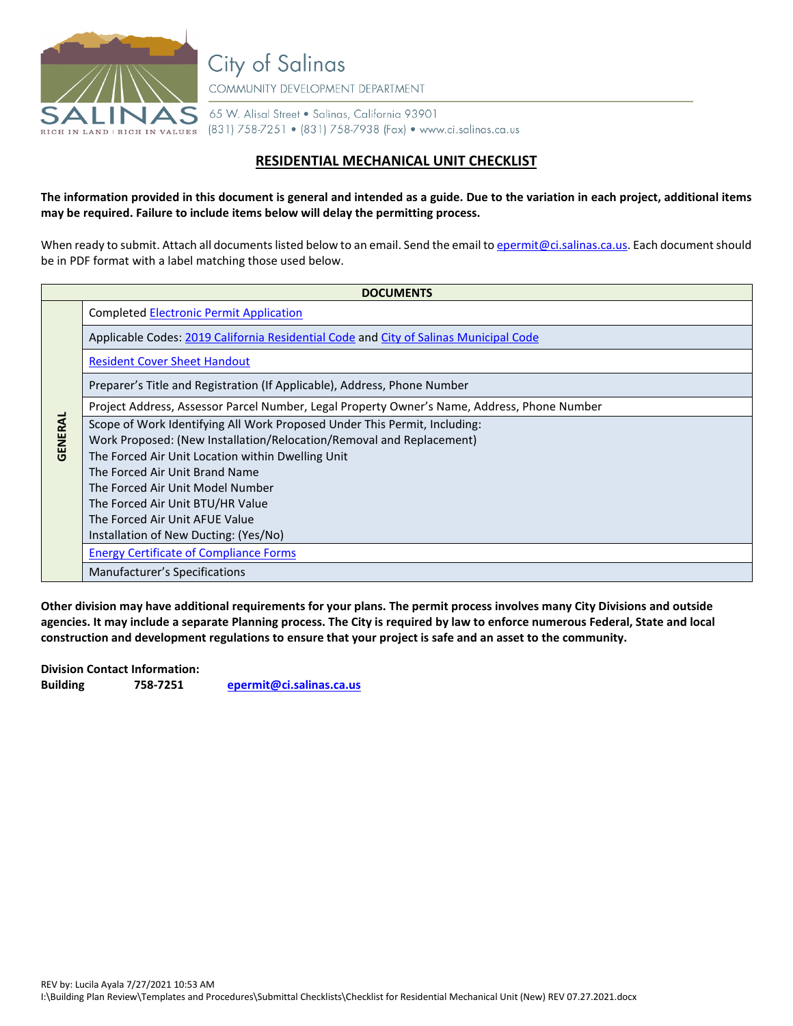

**City of Salinas** COMMUNITY DEVELOPMENT DEPARTMENT

65 W. Alisal Street . Salinas, California 93901

(831) 758-7251 • (831) 758-7938 (Fax) • www.ci.salinas.ca.us

## **RESIDENTIAL MECHANICAL UNIT CHECKLIST**

**The information provided in this document is general and intended as a guide. Due to the variation in each project, additional items may be required. Failure to include items below will delay the permitting process.**

When ready to submit. Attach all documents listed below to an email. Send the email to *epermit@ci.salinas.ca.us*. Each document should be in PDF format with a label matching those used below.

| <b>DOCUMENTS</b> |                                                                                             |
|------------------|---------------------------------------------------------------------------------------------|
| GENERAL          | <b>Completed Electronic Permit Application</b>                                              |
|                  | Applicable Codes: 2019 California Residential Code and City of Salinas Municipal Code       |
|                  | <b>Resident Cover Sheet Handout</b>                                                         |
|                  | Preparer's Title and Registration (If Applicable), Address, Phone Number                    |
|                  | Project Address, Assessor Parcel Number, Legal Property Owner's Name, Address, Phone Number |
|                  | Scope of Work Identifying All Work Proposed Under This Permit, Including:                   |
|                  | Work Proposed: (New Installation/Relocation/Removal and Replacement)                        |
|                  | The Forced Air Unit Location within Dwelling Unit                                           |
|                  | The Forced Air Unit Brand Name                                                              |
|                  | The Forced Air Unit Model Number                                                            |
|                  | The Forced Air Unit BTU/HR Value                                                            |
|                  | The Forced Air Unit AFUE Value                                                              |
|                  | Installation of New Ducting: (Yes/No)                                                       |
|                  | <b>Energy Certificate of Compliance Forms</b>                                               |
|                  | Manufacturer's Specifications                                                               |

**Other division may have additional requirements for your plans. The permit process involves many City Divisions and outside agencies. It may include a separate Planning process. The City is required by law to enforce numerous Federal, State and local construction and development regulations to ensure that your project is safe and an asset to the community.** 

**Division Contact Information: Building 758-7251 [epermit@ci.salinas.ca.us](mailto:epermit@ci.salinas.ca.us)**